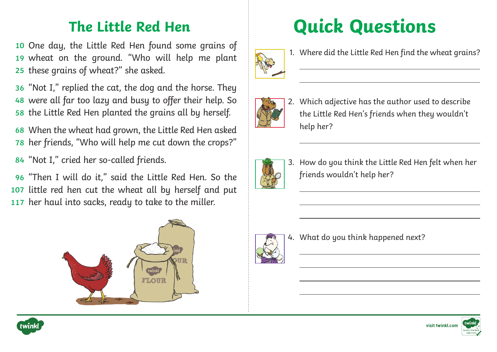10 One day, the Little Red Hen found some grains of wheat on the ground. "Who will help me plant **19** these grains of wheat?" she asked. **25**

"Not I," replied the cat, the dog and the horse. They **36** were all far too lazy and busy to offer their help. So **48** 58 the Little Red Hen planted the grains all by herself.

When the wheat had grown, the Little Red Hen asked **68** 78 her friends, "Who will help me cut down the crops?"

"Not I," cried her so-called friends. **84**

"Then I will do it," said the Little Red Hen. So the **96** 107 little red hen cut the wheat all by herself and put 117 her haul into sacks, ready to take to the miller.







1. Where did the Little Red Hen find the wheat grains?



2. Which adjective has the author used to describe the Little Red Hen's friends when they wouldn't help her?



3. How do you think the Little Red Hen felt when her friends wouldn't help her?



 $\overline{a}$ 

4. What do you think happened next?